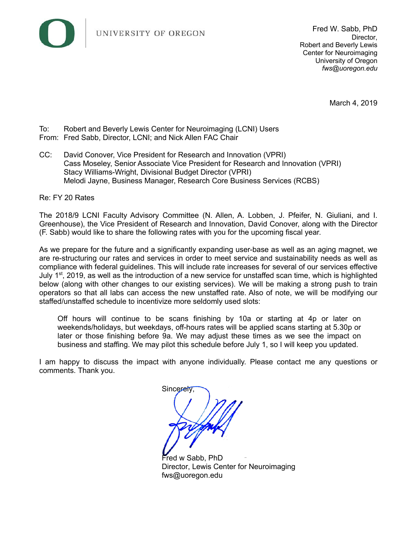

March 4, 2019

- To: Robert and Beverly Lewis Center for Neuroimaging (LCNI) Users
- From: Fred Sabb, Director, LCNI; and Nick Allen FAC Chair
- CC: David Conover, Vice President for Research and Innovation (VPRI) Cass Moseley, Senior Associate Vice President for Research and Innovation (VPRI) Stacy Williams-Wright, Divisional Budget Director (VPRI) Melodi Jayne, Business Manager, Research Core Business Services (RCBS)

Re: FY 20 Rates

The 2018/9 LCNI Faculty Advisory Committee (N. Allen, A. Lobben, J. Pfeifer, N. Giuliani, and I. Greenhouse), the Vice President of Research and Innovation, David Conover, along with the Director (F. Sabb) would like to share the following rates with you for the upcoming fiscal year.

As we prepare for the future and a significantly expanding user-base as well as an aging magnet, we are re-structuring our rates and services in order to meet service and sustainability needs as well as compliance with federal guidelines. This will include rate increases for several of our services effective July  $1<sup>st</sup>$ , 2019, as well as the introduction of a new service for unstaffed scan time, which is highlighted below (along with other changes to our existing services). We will be making a strong push to train operators so that all labs can access the new unstaffed rate. Also of note, we will be modifying our staffed/unstaffed schedule to incentivize more seldomly used slots:

Off hours will continue to be scans finishing by 10a or starting at 4p or later on weekends/holidays, but weekdays, off-hours rates will be applied scans starting at 5.30p or later or those finishing before 9a. We may adjust these times as we see the impact on business and staffing. We may pilot this schedule before July 1, so I will keep you updated.

I am happy to discuss the impact with anyone individually. Please contact me any questions or comments. Thank you.

Sincerely

Fred w Sabb, PhD Director, Lewis Center for Neuroimaging fws@uoregon.edu